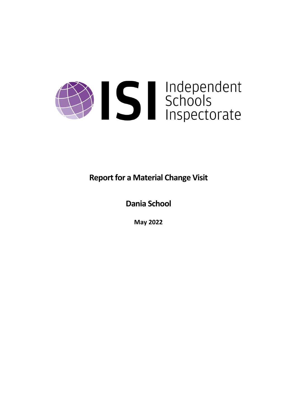

**Report for a Material Change Visit** 

**Dania School**

**May 2022**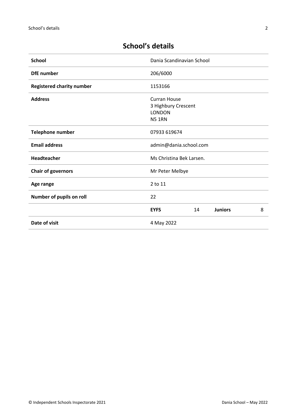# **School's details**

| <b>School</b>                    | Dania Scandinavian School                                                    |    |                |   |
|----------------------------------|------------------------------------------------------------------------------|----|----------------|---|
| <b>DfE</b> number                | 206/6000                                                                     |    |                |   |
| <b>Registered charity number</b> | 1153166                                                                      |    |                |   |
| <b>Address</b>                   | <b>Curran House</b><br>3 Highbury Crescent<br><b>LONDON</b><br><b>N5 1RN</b> |    |                |   |
| Telephone number                 | 07933 619674                                                                 |    |                |   |
| <b>Email address</b>             | admin@dania.school.com                                                       |    |                |   |
| Headteacher                      | Ms Christina Bek Larsen.                                                     |    |                |   |
| <b>Chair of governors</b>        | Mr Peter Melbye                                                              |    |                |   |
| Age range                        | 2 to 11                                                                      |    |                |   |
| Number of pupils on roll         | 22                                                                           |    |                |   |
|                                  | <b>EYFS</b>                                                                  | 14 | <b>Juniors</b> | 8 |
| Date of visit                    | 4 May 2022                                                                   |    |                |   |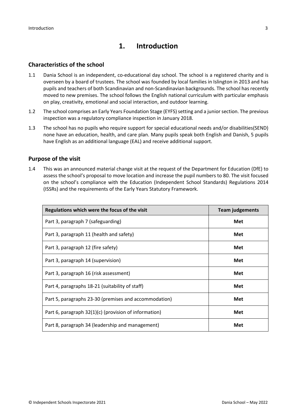# **1. Introduction**

# **Characteristics of the school**

- 1.1 Dania School is an independent, co-educational day school. The school is a registered charity and is overseen by a board of trustees. The school was founded by local families in Islington in 2013 and has pupils and teachers of both Scandinavian and non-Scandinavian backgrounds. The school has recently moved to new premises. The school follows the English national curriculum with particular emphasis on play, creativity, emotional and social interaction, and outdoor learning.
- 1.2 The school comprises an Early Years Foundation Stage (EYFS) setting and a junior section. The previous inspection was a regulatory compliance inspection in January 2018.
- 1.3 The school has no pupils who require support for special educational needs and/or disabilities(SEND) none have an education, health, and care plan. Many pupils speak both English and Danish, 5 pupils have English as an additional language (EAL) and receive additional support.

# **Purpose of the visit**

1.4 This was an announced material change visit at the request of the Department for Education (DfE) to assess the school's proposal to move location and increase the pupil numbers to 80. The visit focused on the school's compliance with the Education (Independent School Standards) Regulations 2014 (ISSRs) and the requirements of the Early Years Statutory Framework.

| Regulations which were the focus of the visit         | <b>Team judgements</b> |
|-------------------------------------------------------|------------------------|
| Part 3, paragraph 7 (safeguarding)                    | Met                    |
| Part 3, paragraph 11 (health and safety)              | Met                    |
| Part 3, paragraph 12 (fire safety)                    | Met                    |
| Part 3, paragraph 14 (supervision)                    | Met                    |
| Part 3, paragraph 16 (risk assessment)                | Met                    |
| Part 4, paragraphs 18-21 (suitability of staff)       | Met                    |
| Part 5, paragraphs 23-30 (premises and accommodation) | Met                    |
| Part 6, paragraph 32(1)(c) (provision of information) | Met                    |
| Part 8, paragraph 34 (leadership and management)      | Met                    |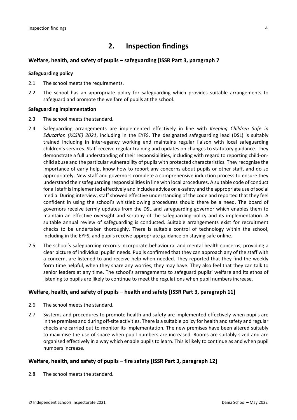# **2. Inspection findings**

### **Welfare, health, and safety of pupils – safeguarding [ISSR Part 3, paragraph 7**

#### **Safeguarding policy**

- 2.1 The school meets the requirements.
- 2.2 The school has an appropriate policy for safeguarding which provides suitable arrangements to safeguard and promote the welfare of pupils at the school.

#### **Safeguarding implementation**

- 2.3 The school meets the standard.
- 2.4 Safeguarding arrangements are implemented effectively in line with *Keeping Children Safe in Education (KCSIE) 2021*, including in the EYFS. The designated safeguarding lead (DSL) is suitably trained including in inter-agency working and maintains regular liaison with local safeguarding children's services. Staff receive regular training and updates on changes to statutory guidance. They demonstrate a full understanding of their responsibilities, including with regard to reporting child-onchild abuse and the particular vulnerability of pupils with protected characteristics. They recognise the importance of early help, know how to report any concerns about pupils or other staff, and do so appropriately. New staff and governors complete a comprehensive induction process to ensure they understand their safeguarding responsibilities in line with local procedures. A suitable code of conduct for all staff is implemented effectively and includes advice on e-safety and the appropriate use of social media. During interview, staff showed effective understanding of the code and reported that they feel confident in using the school's whistleblowing procedures should there be a need. The board of governors receive termly updates from the DSL and safeguarding governor which enables them to maintain an effective oversight and scrutiny of the safeguarding policy and its implementation. A suitable annual review of safeguarding is conducted. Suitable arrangements exist for recruitment checks to be undertaken thoroughly. There is suitable control of technology within the school, including in the EYFS, and pupils receive appropriate guidance on staying safe online.
- 2.5 The school's safeguarding records incorporate behavioural and mental health concerns, providing a clear picture of individual pupils' needs. Pupils confirmed that they can approach any of the staff with a concern, are listened to and receive help when needed. They reported that they find the weekly form time helpful, when they share any worries, they may have. They also feel that they can talk to senior leaders at any time. The school's arrangements to safeguard pupils' welfare and its ethos of listening to pupils are likely to continue to meet the regulations when pupil numbers increase.

# **Welfare, health, and safety of pupils – health and safety [ISSR Part 3, paragraph 11]**

- 2.6 The school meets the standard.
- 2.7 Systems and procedures to promote health and safety are implemented effectively when pupils are in the premises and during off-site activities. There is a suitable policy for health and safety and regular checks are carried out to monitor its implementation. The new premises have been altered suitably to maximise the use of space when pupil numbers are increased. Rooms are suitably sized and are organised effectively in a way which enable pupils to learn. This is likely to continue as and when pupil numbers increase.

# **Welfare, health, and safety of pupils – fire safety [ISSR Part 3, paragraph 12]**

2.8 The school meets the standard.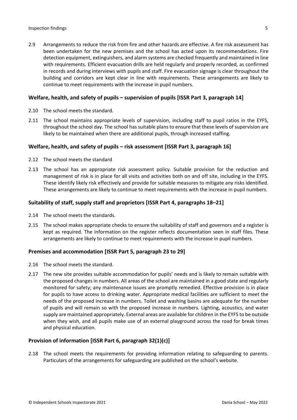2.9 Arrangements to reduce the risk from fire and other hazards are effective. A fire risk assessment has been undertaken for the new premises and the school has acted upon its recommendations. Fire detection equipment, extinguishers, and alarm systems are checked frequently and maintained in line with requirements. Efficient evacuation drills are held regularly and properly recorded, as confirmed in records and during interviews with pupils and staff. Fire evacuation signage is clear throughout the building and corridors are kept clear in line with requirements. These arrangements are likely to continue to meet requirements with the increase in pupil numbers.

### **Welfare, health, and safety of pupils – supervision of pupils [ISSR Part 3, paragraph 14]**

- 2.10 The school meets the standard.
- 2.11 The school maintains appropriate levels of supervision, including staff to pupil ratios in the EYFS, throughout the school day. The school has suitable plans to ensure that these levels of supervision are likely to be maintained when there are additional pupils, through increased staffing.

### **Welfare, health, and safety of pupils – risk assessment [ISSR Part 3, paragraph 16]**

- 2.12 The school meets the standard.
- 2.13 The school has an appropriate risk assessment policy. Suitable provision for the reduction and management of risk is in place for all visits and activities both on and off site, including in the EYFS. These identify likely risk effectively and provide for suitable measures to mitigate any risks identified. These arrangements are likely to continue to meet requirements with the increase in pupil numbers.

### **Suitability of staff, supply staff and proprietors [ISSR Part 4, paragraphs 18–21]**

- 2.14 The school meets the standards.
- 2.15 The school makes appropriate checks to ensure the suitability of staff and governors and a register is kept as required. The information on the register reflects documentation seen in staff files. These arrangements are likely to continue to meet requirements with the increase in pupil numbers.

### **Premises and accommodation [ISSR Part 5, paragraph 23 to 29]**

- 2.16 The school meets the standard.
- 2.17 The new site provides suitable accommodation for pupils' needs and is likely to remain suitable with the proposed changes in numbers. All areas of the school are maintained in a good state and regularly monitored for safety; any maintenance issues are promptly remedied. Effective provision is in place for pupils to have access to drinking water. Appropriate medical facilities are sufficient to meet the needs of the proposed increase in numbers. Toilet and washing basins are adequate for the number of pupils and will remain so with the proposed increase in numbers. Lighting, acoustics, and water supply are maintained appropriately. External areas are available for children in the EYFS to be outside when they wish, and all pupils make use of an external playground across the road for break times and physical education.

### **Provision of information [ISSR Part 6, paragraph 32(1)(c)]**

2.18 The school meets the requirements for providing information relating to safeguarding to parents. Particulars of the arrangements for safeguarding are published on the school's website.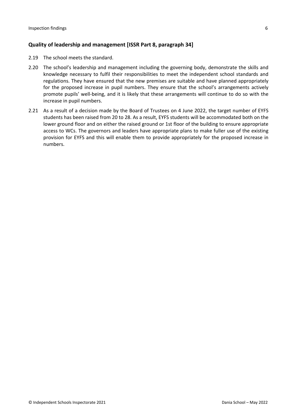# **Quality of leadership and management [ISSR Part 8, paragraph 34]**

- 2.19 The school meets the standard.
- 2.20 The school's leadership and management including the governing body, demonstrate the skills and knowledge necessary to fulfil their responsibilities to meet the independent school standards and regulations. They have ensured that the new premises are suitable and have planned appropriately for the proposed increase in pupil numbers. They ensure that the school's arrangements actively promote pupils' well-being, and it is likely that these arrangements will continue to do so with the increase in pupil numbers.
- 2.21 As a result of a decision made by the Board of Trustees on 4 June 2022, the target number of EYFS students has been raised from 20 to 28. As a result, EYFS students will be accommodated both on the lower ground floor and on either the raised ground or 1st floor of the building to ensure appropriate access to WCs. The governors and leaders have appropriate plans to make fuller use of the existing provision for EYFS and this will enable them to provide appropriately for the proposed increase in numbers.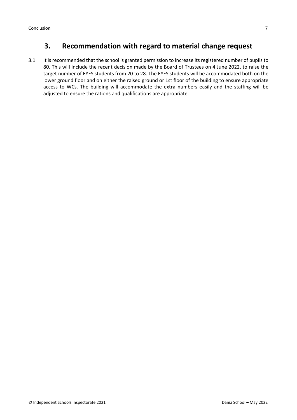# **3. Recommendation with regard to material change request**

3.1 It is recommended that the school is granted permission to increase its registered number of pupils to 80. This will include the recent decision made by the Board of Trustees on 4 June 2022, to raise the target number of EYFS students from 20 to 28. The EYFS students will be accommodated both on the lower ground floor and on either the raised ground or 1st floor of the building to ensure appropriate access to WCs. The building will accommodate the extra numbers easily and the staffing will be adjusted to ensure the rations and qualifications are appropriate.